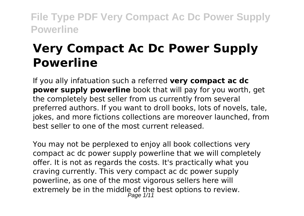# **Very Compact Ac Dc Power Supply Powerline**

If you ally infatuation such a referred **very compact ac dc power supply powerline** book that will pay for you worth, get the completely best seller from us currently from several preferred authors. If you want to droll books, lots of novels, tale, iokes, and more fictions collections are moreover launched, from best seller to one of the most current released.

You may not be perplexed to enjoy all book collections very compact ac dc power supply powerline that we will completely offer. It is not as regards the costs. It's practically what you craving currently. This very compact ac dc power supply powerline, as one of the most vigorous sellers here will extremely be in the middle of the best options to review. Page 1/11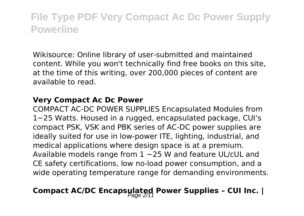Wikisource: Online library of user-submitted and maintained content. While you won't technically find free books on this site, at the time of this writing, over 200,000 pieces of content are available to read.

#### **Very Compact Ac Dc Power**

COMPACT AC-DC POWER SUPPLIES Encapsulated Modules from 1~25 Watts. Housed in a rugged, encapsulated package, CUI's compact PSK, VSK and PBK series of AC-DC power supplies are ideally suited for use in low-power ITE, lighting, industrial, and medical applications where design space is at a premium. Available models range from 1 ~25 W and feature UL/cUL and CE safety certifications, low no-load power consumption, and a wide operating temperature range for demanding environments.

# Compact AC/DC Encapsulated Power Supplies - CUI Inc. |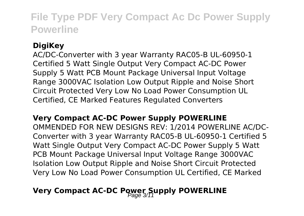### **DigiKey**

AC/DC-Converter with 3 year Warranty RAC05-B UL-60950-1 Certified 5 Watt Single Output Very Compact AC-DC Power Supply 5 Watt PCB Mount Package Universal Input Voltage Range 3000VAC Isolation Low Output Ripple and Noise Short Circuit Protected Very Low No Load Power Consumption UL Certified, CE Marked Features Regulated Converters

#### **Very Compact AC-DC Power Supply POWERLINE**

OMMENDED FOR NEW DESIGNS REV: 1/2014 POWERLINE AC/DC-Converter with 3 year Warranty RAC05-B UL-60950-1 Certified 5 Watt Single Output Very Compact AC-DC Power Supply 5 Watt PCB Mount Package Universal Input Voltage Range 3000VAC Isolation Low Output Ripple and Noise Short Circuit Protected Very Low No Load Power Consumption UL Certified, CE Marked

### **Very Compact AC-DC Power Supply POWERLINE**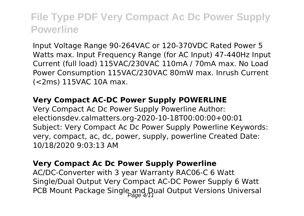Input Voltage Range 90-264VAC or 120-370VDC Rated Power 5 Watts max. Input Frequency Range (for AC Input) 47-440Hz Input Current (full load) 115VAC/230VAC 110mA / 70mA max. No Load Power Consumption 115VAC/230VAC 80mW max. Inrush Current (<2ms) 115VAC 10A max.

#### **Very Compact AC-DC Power Supply POWERLINE**

Very Compact Ac Dc Power Supply Powerline Author: electionsdev.calmatters.org-2020-10-18T00:00:00+00:01 Subject: Very Compact Ac Dc Power Supply Powerline Keywords: very, compact, ac, dc, power, supply, powerline Created Date: 10/18/2020 9:03:13 AM

#### **Very Compact Ac Dc Power Supply Powerline**

AC/DC-Converter with 3 year Warranty RAC06-C 6 Watt Single/Dual Output Very Compact AC-DC Power Supply 6 Watt PCB Mount Package Single and Dual Output Versions Universal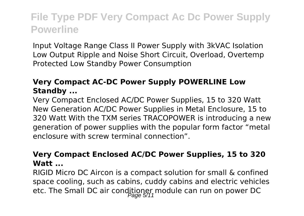Input Voltage Range Class II Power Supply with 3kVAC Isolation Low Output Ripple and Noise Short Circuit, Overload, Overtemp Protected Low Standby Power Consumption

### **Very Compact AC-DC Power Supply POWERLINE Low Standby ...**

Very Compact Enclosed AC/DC Power Supplies, 15 to 320 Watt New Generation AC/DC Power Supplies in Metal Enclosure, 15 to 320 Watt With the TXM series TRACOPOWER is introducing a new generation of power supplies with the popular form factor "metal enclosure with screw terminal connection".

#### **Very Compact Enclosed AC/DC Power Supplies, 15 to 320 Watt**

RIGID Micro DC Aircon is a compact solution for small & confined space cooling, such as cabins, cuddy cabins and electric vehicles etc. The Small DC air conditioner module can run on power DC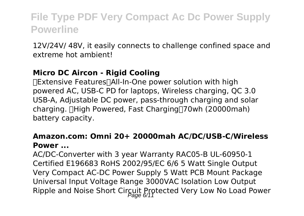12V/24V/ 48V, it easily connects to challenge confined space and extreme hot ambient!

#### **Micro DC Aircon - Rigid Cooling**

【Extensive Features】All-In-One power solution with high powered AC, USB-C PD for laptops, Wireless charging, QC 3.0 USB-A, Adjustable DC power, pass-through charging and solar charging. **[High Powered, Fast Charging**<sup>[70wh (20000mah)]</sup> battery capacity.

#### **Amazon.com: Omni 20+ 20000mah AC/DC/USB-C/Wireless Power ...**

AC/DC-Converter with 3 year Warranty RAC05-B UL-60950-1 Certified E196683 RoHS 2002/95/EC 6/6 5 Watt Single Output Very Compact AC-DC Power Supply 5 Watt PCB Mount Package Universal Input Voltage Range 3000VAC Isolation Low Output Ripple and Noise Short Circuit Protected Very Low No Load Power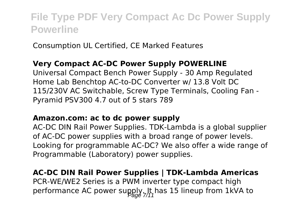Consumption UL Certified, CE Marked Features

#### **Very Compact AC-DC Power Supply POWERLINE**

Universal Compact Bench Power Supply - 30 Amp Regulated Home Lab Benchtop AC-to-DC Converter w/ 13.8 Volt DC 115/230V AC Switchable, Screw Type Terminals, Cooling Fan - Pyramid PSV300 4.7 out of 5 stars 789

#### **Amazon.com: ac to dc power supply**

AC-DC DIN Rail Power Supplies. TDK-Lambda is a global supplier of AC-DC power supplies with a broad range of power levels. Looking for programmable AC-DC? We also offer a wide range of Programmable (Laboratory) power supplies.

### **AC-DC DIN Rail Power Supplies | TDK-Lambda Americas**

PCR-WE/WE2 Series is a PWM inverter type compact high performance AC power supply. It has 15 lineup from 1kVA to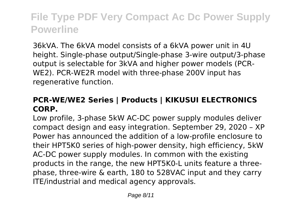36kVA. The 6kVA model consists of a 6kVA power unit in 4U height. Single-phase output/Single-phase 3-wire output/3-phase output is selectable for 3kVA and higher power models (PCR-WE2). PCR-WE2R model with three-phase 200V input has regenerative function.

### **PCR-WE/WE2 Series | Products | KIKUSUI ELECTRONICS CORP.**

Low profile, 3-phase 5kW AC-DC power supply modules deliver compact design and easy integration. September 29, 2020 – XP Power has announced the addition of a low-profile enclosure to their HPT5K0 series of high-power density, high efficiency, 5kW AC-DC power supply modules. In common with the existing products in the range, the new HPT5K0-L units feature a threephase, three-wire & earth, 180 to 528VAC input and they carry ITE/industrial and medical agency approvals.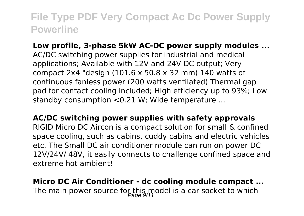**Low profile, 3-phase 5kW AC-DC power supply modules ...** AC/DC switching power supplies for industrial and medical applications; Available with 12V and 24V DC output; Very compact 2x4 "design (101.6 x 50.8 x 32 mm) 140 watts of continuous fanless power (200 watts ventilated) Thermal gap pad for contact cooling included; High efficiency up to 93%; Low standby consumption <0.21 W; Wide temperature ...

**AC/DC switching power supplies with safety approvals** RIGID Micro DC Aircon is a compact solution for small & confined space cooling, such as cabins, cuddy cabins and electric vehicles etc. The Small DC air conditioner module can run on power DC 12V/24V/ 48V, it easily connects to challenge confined space and extreme hot ambient!

**Micro DC Air Conditioner - dc cooling module compact ...** The main power source for this model is a car socket to which